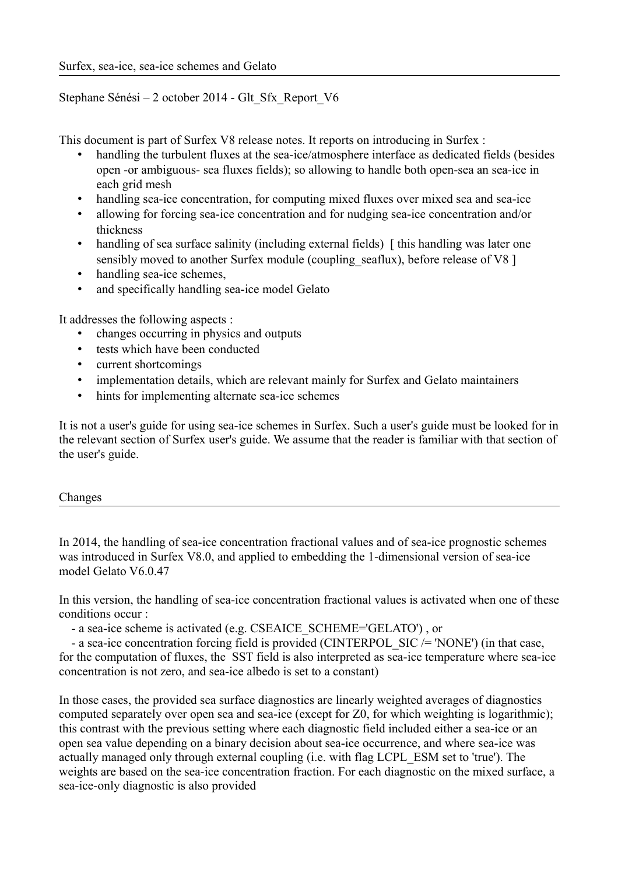# Stephane Sénési – 2 october 2014 - Glt\_Sfx\_Report\_V6

This document is part of Surfex V8 release notes. It reports on introducing in Surfex :

- handling the turbulent fluxes at the sea-ice/atmosphere interface as dedicated fields (besides open -or ambiguous- sea fluxes fields); so allowing to handle both open-sea an sea-ice in each grid mesh
- handling sea-ice concentration, for computing mixed fluxes over mixed sea and sea-ice
- allowing for forcing sea-ice concentration and for nudging sea-ice concentration and/or thickness
- handling of sea surface salinity (including external fields) [this handling was later one sensibly moved to another Surfex module (coupling seaflux), before release of V8 ]
- handling sea-ice schemes,
- and specifically handling sea-ice model Gelato

It addresses the following aspects :

- changes occurring in physics and outputs
- tests which have been conducted
- current shortcomings
- implementation details, which are relevant mainly for Surfex and Gelato maintainers
- hints for implementing alternate sea-ice schemes

It is not a user's guide for using sea-ice schemes in Surfex. Such a user's guide must be looked for in the relevant section of Surfex user's guide. We assume that the reader is familiar with that section of the user's guide.

### Changes

In 2014, the handling of sea-ice concentration fractional values and of sea-ice prognostic schemes was introduced in Surfex V8.0, and applied to embedding the 1-dimensional version of sea-ice model Gelato V6.0.47

In this version, the handling of sea-ice concentration fractional values is activated when one of these conditions occur :

- a sea-ice scheme is activated (e.g. CSEAICE\_SCHEME='GELATO') , or

- a sea-ice concentration forcing field is provided (CINTERPOL SIC /= 'NONE') (in that case, for the computation of fluxes, the SST field is also interpreted as sea-ice temperature where sea-ice concentration is not zero, and sea-ice albedo is set to a constant)

In those cases, the provided sea surface diagnostics are linearly weighted averages of diagnostics computed separately over open sea and sea-ice (except for Z0, for which weighting is logarithmic); this contrast with the previous setting where each diagnostic field included either a sea-ice or an open sea value depending on a binary decision about sea-ice occurrence, and where sea-ice was actually managed only through external coupling (i.e. with flag LCPL\_ESM set to 'true'). The weights are based on the sea-ice concentration fraction. For each diagnostic on the mixed surface, a sea-ice-only diagnostic is also provided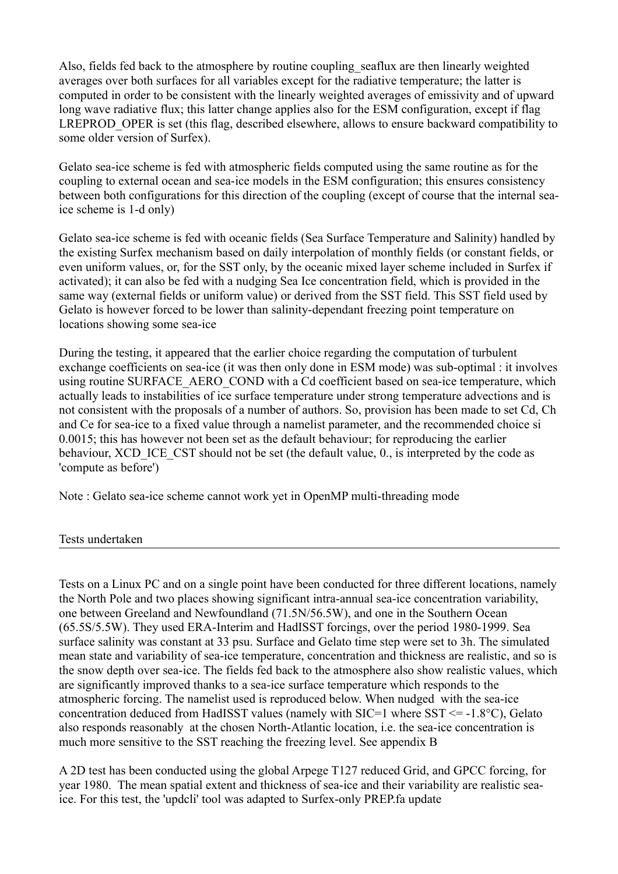Also, fields fed back to the atmosphere by routine coupling seaflux are then linearly weighted averages over both surfaces for all variables except for the radiative temperature; the latter is computed in order to be consistent with the linearly weighted averages of emissivity and of upward long wave radiative flux; this latter change applies also for the ESM configuration, except if flag LREPROD OPER is set (this flag, described elsewhere, allows to ensure backward compatibility to some older version of Surfex).

Gelato sea-ice scheme is fed with atmospheric fields computed using the same routine as for the coupling to external ocean and sea-ice models in the ESM configuration; this ensures consistency between both configurations for this direction of the coupling (except of course that the internal seaice scheme is 1-d only)

Gelato sea-ice scheme is fed with oceanic fields (Sea Surface Temperature and Salinity) handled by the existing Surfex mechanism based on daily interpolation of monthly fields (or constant fields, or even uniform values, or, for the SST only, by the oceanic mixed layer scheme included in Surfex if activated); it can also be fed with a nudging Sea Ice concentration field, which is provided in the same way (external fields or uniform value) or derived from the SST field. This SST field used by Gelato is however forced to be lower than salinity-dependant freezing point temperature on locations showing some sea-ice

During the testing, it appeared that the earlier choice regarding the computation of turbulent exchange coefficients on sea-ice (it was then only done in ESM mode) was sub-optimal : it involves using routine SURFACE\_AERO\_COND with a Cd coefficient based on sea-ice temperature, which actually leads to instabilities of ice surface temperature under strong temperature advections and is not consistent with the proposals of a number of authors. So, provision has been made to set Cd, Ch and Ce for sea-ice to a fixed value through a namelist parameter, and the recommended choice si 0.0015; this has however not been set as the default behaviour; for reproducing the earlier behaviour, XCD ICE CST should not be set (the default value, 0., is interpreted by the code as 'compute as before')

Note : Gelato sea-ice scheme cannot work yet in OpenMP multi-threading mode

Tests undertaken

Tests on a Linux PC and on a single point have been conducted for three different locations, namely the North Pole and two places showing significant intra-annual sea-ice concentration variability, one between Greeland and Newfoundland (71.5N/56.5W), and one in the Southern Ocean (65.5S/5.5W). They used ERA-Interim and HadISST forcings, over the period 1980-1999. Sea surface salinity was constant at 33 psu. Surface and Gelato time step were set to 3h. The simulated mean state and variability of sea-ice temperature, concentration and thickness are realistic, and so is the snow depth over sea-ice. The fields fed back to the atmosphere also show realistic values, which are significantly improved thanks to a sea-ice surface temperature which responds to the atmospheric forcing. The namelist used is reproduced below. When nudged with the sea-ice concentration deduced from HadISST values (namely with SIC=1 where  $SST \le -1.8$ °C), Gelato also responds reasonably at the chosen North-Atlantic location, i.e. the sea-ice concentration is much more sensitive to the SST reaching the freezing level. See appendix B

A 2D test has been conducted using the global Arpege T127 reduced Grid, and GPCC forcing, for year 1980. The mean spatial extent and thickness of sea-ice and their variability are realistic seaice. For this test, the 'updcli' tool was adapted to Surfex-only PREP.fa update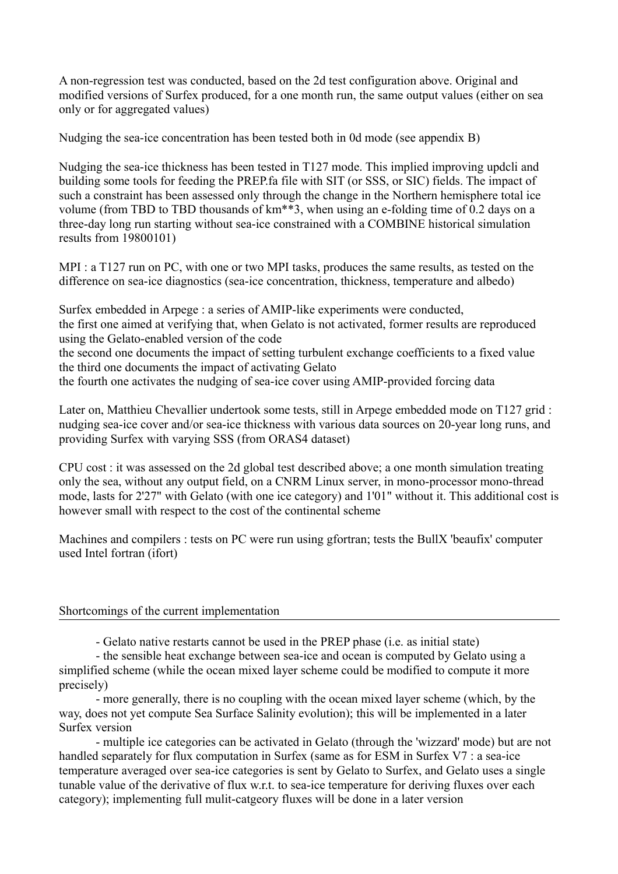A non-regression test was conducted, based on the 2d test configuration above. Original and modified versions of Surfex produced, for a one month run, the same output values (either on sea only or for aggregated values)

Nudging the sea-ice concentration has been tested both in 0d mode (see appendix B)

Nudging the sea-ice thickness has been tested in T127 mode. This implied improving updcli and building some tools for feeding the PREP.fa file with SIT (or SSS, or SIC) fields. The impact of such a constraint has been assessed only through the change in the Northern hemisphere total ice volume (from TBD to TBD thousands of km\*\*3, when using an e-folding time of 0.2 days on a three-day long run starting without sea-ice constrained with a COMBINE historical simulation results from 19800101)

MPI : a T127 run on PC, with one or two MPI tasks, produces the same results, as tested on the difference on sea-ice diagnostics (sea-ice concentration, thickness, temperature and albedo)

Surfex embedded in Arpege : a series of AMIP-like experiments were conducted, the first one aimed at verifying that, when Gelato is not activated, former results are reproduced using the Gelato-enabled version of the code the second one documents the impact of setting turbulent exchange coefficients to a fixed value the third one documents the impact of activating Gelato the fourth one activates the nudging of sea-ice cover using AMIP-provided forcing data

Later on, Matthieu Chevallier undertook some tests, still in Arpege embedded mode on T127 grid : nudging sea-ice cover and/or sea-ice thickness with various data sources on 20-year long runs, and providing Surfex with varying SSS (from ORAS4 dataset)

CPU cost : it was assessed on the 2d global test described above; a one month simulation treating only the sea, without any output field, on a CNRM Linux server, in mono-processor mono-thread mode, lasts for 2'27" with Gelato (with one ice category) and 1'01" without it. This additional cost is however small with respect to the cost of the continental scheme

Machines and compilers : tests on PC were run using gfortran; tests the BullX 'beaufix' computer used Intel fortran (ifort)

### Shortcomings of the current implementation

- Gelato native restarts cannot be used in the PREP phase (i.e. as initial state)

- the sensible heat exchange between sea-ice and ocean is computed by Gelato using a simplified scheme (while the ocean mixed layer scheme could be modified to compute it more precisely)

- more generally, there is no coupling with the ocean mixed layer scheme (which, by the way, does not yet compute Sea Surface Salinity evolution); this will be implemented in a later Surfex version

- multiple ice categories can be activated in Gelato (through the 'wizzard' mode) but are not handled separately for flux computation in Surfex (same as for ESM in Surfex V7 : a sea-ice temperature averaged over sea-ice categories is sent by Gelato to Surfex, and Gelato uses a single tunable value of the derivative of flux w.r.t. to sea-ice temperature for deriving fluxes over each category); implementing full mulit-catgeory fluxes will be done in a later version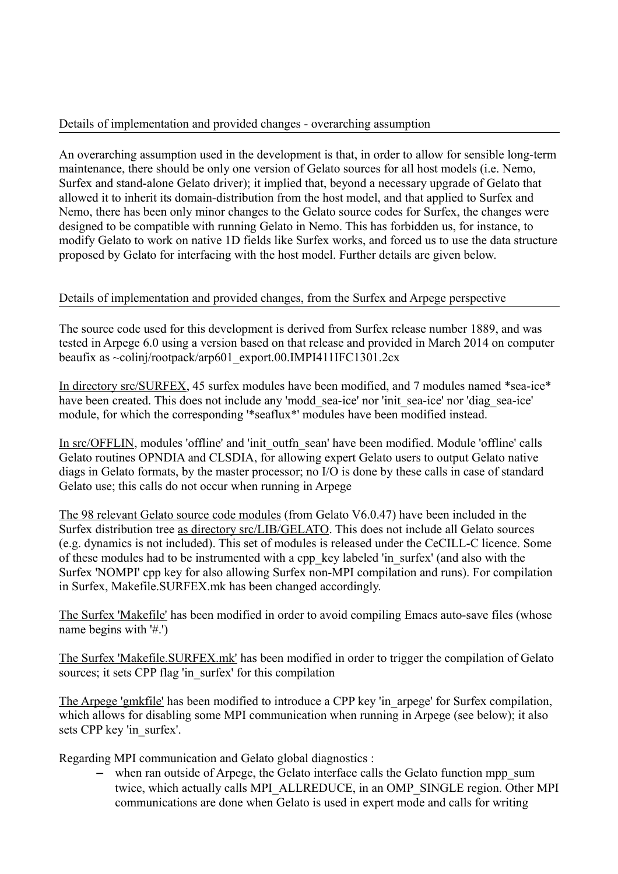### Details of implementation and provided changes - overarching assumption

An overarching assumption used in the development is that, in order to allow for sensible long-term maintenance, there should be only one version of Gelato sources for all host models (i.e. Nemo, Surfex and stand-alone Gelato driver); it implied that, beyond a necessary upgrade of Gelato that allowed it to inherit its domain-distribution from the host model, and that applied to Surfex and Nemo, there has been only minor changes to the Gelato source codes for Surfex, the changes were designed to be compatible with running Gelato in Nemo. This has forbidden us, for instance, to modify Gelato to work on native 1D fields like Surfex works, and forced us to use the data structure proposed by Gelato for interfacing with the host model. Further details are given below.

## Details of implementation and provided changes, from the Surfex and Arpege perspective

The source code used for this development is derived from Surfex release number 1889, and was tested in Arpege 6.0 using a version based on that release and provided in March 2014 on computer beaufix as ~colinj/rootpack/arp601\_export.00.IMPI411IFC1301.2cx

In directory src/SURFEX, 45 surfex modules have been modified, and 7 modules named \*sea-ice\* have been created. This does not include any 'modd sea-ice' nor 'init sea-ice' nor 'diag sea-ice' module, for which the corresponding '\*seaflux\*' modules have been modified instead.

In src/OFFLIN, modules 'offline' and 'init\_outfn\_sean' have been modified. Module 'offline' calls Gelato routines OPNDIA and CLSDIA, for allowing expert Gelato users to output Gelato native diags in Gelato formats, by the master processor; no I/O is done by these calls in case of standard Gelato use; this calls do not occur when running in Arpege

The 98 relevant Gelato source code modules (from Gelato V6.0.47) have been included in the Surfex distribution tree as directory src/LIB/GELATO. This does not include all Gelato sources (e.g. dynamics is not included). This set of modules is released under the CeCILL-C licence. Some of these modules had to be instrumented with a cpp\_key labeled 'in\_surfex' (and also with the Surfex 'NOMPI' cpp key for also allowing Surfex non-MPI compilation and runs). For compilation in Surfex, Makefile.SURFEX.mk has been changed accordingly.

The Surfex 'Makefile' has been modified in order to avoid compiling Emacs auto-save files (whose name begins with '#.')

The Surfex 'Makefile.SURFEX.mk' has been modified in order to trigger the compilation of Gelato sources; it sets CPP flag 'in surfex' for this compilation

The Arpege 'gmkfile' has been modified to introduce a CPP key 'in\_arpege' for Surfex compilation, which allows for disabling some MPI communication when running in Arpege (see below); it also sets CPP key 'in\_surfex'.

Regarding MPI communication and Gelato global diagnostics :

– when ran outside of Arpege, the Gelato interface calls the Gelato function mpp\_sum twice, which actually calls MPI\_ALLREDUCE, in an OMP\_SINGLE region. Other MPI communications are done when Gelato is used in expert mode and calls for writing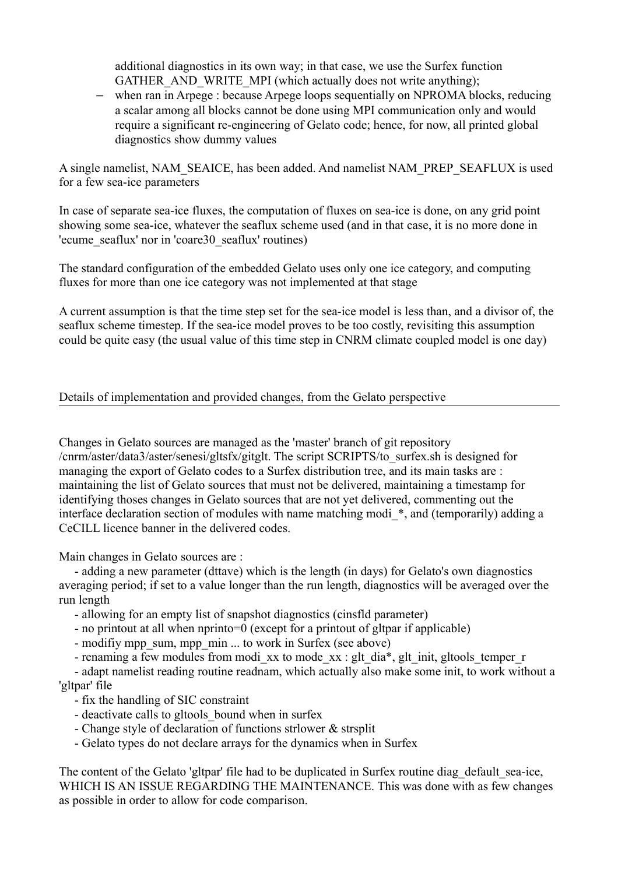additional diagnostics in its own way; in that case, we use the Surfex function GATHER\_AND\_WRITE\_MPI (which actually does not write anything);

– when ran in Arpege : because Arpege loops sequentially on NPROMA blocks, reducing a scalar among all blocks cannot be done using MPI communication only and would require a significant re-engineering of Gelato code; hence, for now, all printed global diagnostics show dummy values

A single namelist, NAM\_SEAICE, has been added. And namelist NAM\_PREP\_SEAFLUX is used for a few sea-ice parameters

In case of separate sea-ice fluxes, the computation of fluxes on sea-ice is done, on any grid point showing some sea-ice, whatever the seaflux scheme used (and in that case, it is no more done in 'ecume\_seaflux' nor in 'coare30\_seaflux' routines)

The standard configuration of the embedded Gelato uses only one ice category, and computing fluxes for more than one ice category was not implemented at that stage

A current assumption is that the time step set for the sea-ice model is less than, and a divisor of, the seaflux scheme timestep. If the sea-ice model proves to be too costly, revisiting this assumption could be quite easy (the usual value of this time step in CNRM climate coupled model is one day)

# Details of implementation and provided changes, from the Gelato perspective

Changes in Gelato sources are managed as the 'master' branch of git repository /cnrm/aster/data3/aster/senesi/gltsfx/gitglt. The script SCRIPTS/to\_surfex.sh is designed for managing the export of Gelato codes to a Surfex distribution tree, and its main tasks are : maintaining the list of Gelato sources that must not be delivered, maintaining a timestamp for identifying thoses changes in Gelato sources that are not yet delivered, commenting out the interface declaration section of modules with name matching modi<sup>\*</sup>, and (temporarily) adding a CeCILL licence banner in the delivered codes.

Main changes in Gelato sources are :

 - adding a new parameter (dttave) which is the length (in days) for Gelato's own diagnostics averaging period; if set to a value longer than the run length, diagnostics will be averaged over the run length

- allowing for an empty list of snapshot diagnostics (cinsfld parameter)
- no printout at all when nprinto=0 (except for a printout of gltpar if applicable)
- modifiy mpp\_sum, mpp\_min ... to work in Surfex (see above)
- renaming a few modules from modi\_xx to mode\_xx : glt\_dia\*, glt\_init, gltools\_temper\_r

 - adapt namelist reading routine readnam, which actually also make some init, to work without a 'gltpar' file

- fix the handling of SIC constraint
- deactivate calls to gltools bound when in surfex
- Change style of declaration of functions strlower & strsplit
- Gelato types do not declare arrays for the dynamics when in Surfex

The content of the Gelato 'gltpar' file had to be duplicated in Surfex routine diag default sea-ice, WHICH IS AN ISSUE REGARDING THE MAINTENANCE. This was done with as few changes as possible in order to allow for code comparison.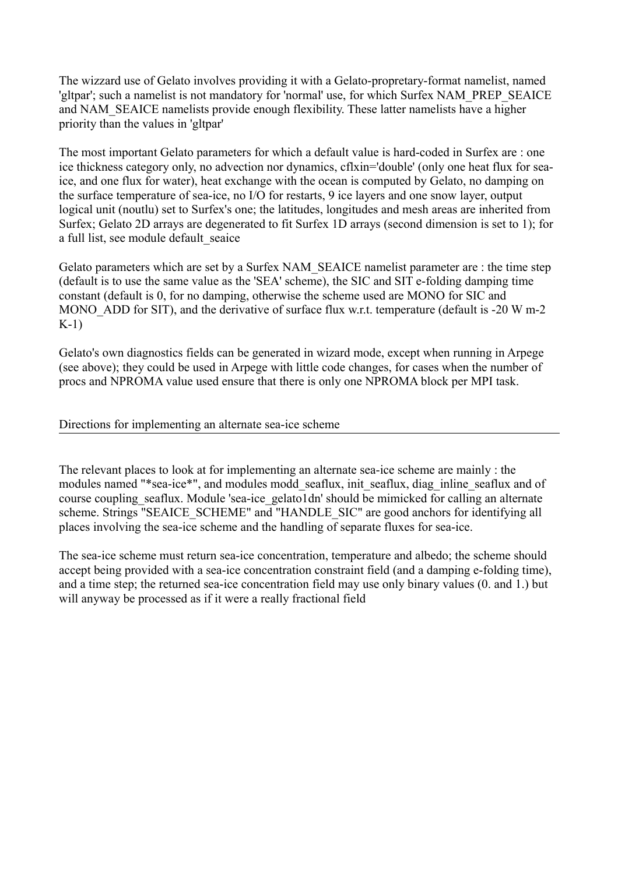The wizzard use of Gelato involves providing it with a Gelato-propretary-format namelist, named 'gltpar'; such a namelist is not mandatory for 'normal' use, for which Surfex NAM\_PREP\_SEAICE and NAM\_SEAICE namelists provide enough flexibility. These latter namelists have a higher priority than the values in 'gltpar'

The most important Gelato parameters for which a default value is hard-coded in Surfex are : one ice thickness category only, no advection nor dynamics, cflxin='double' (only one heat flux for seaice, and one flux for water), heat exchange with the ocean is computed by Gelato, no damping on the surface temperature of sea-ice, no I/O for restarts, 9 ice layers and one snow layer, output logical unit (noutlu) set to Surfex's one; the latitudes, longitudes and mesh areas are inherited from Surfex; Gelato 2D arrays are degenerated to fit Surfex 1D arrays (second dimension is set to 1); for a full list, see module default seaice

Gelato parameters which are set by a Surfex NAM\_SEAICE namelist parameter are : the time step (default is to use the same value as the 'SEA' scheme), the SIC and SIT e-folding damping time constant (default is 0, for no damping, otherwise the scheme used are MONO for SIC and MONO ADD for SIT), and the derivative of surface flux w.r.t. temperature (default is -20 W m-2 K-1)

Gelato's own diagnostics fields can be generated in wizard mode, except when running in Arpege (see above); they could be used in Arpege with little code changes, for cases when the number of procs and NPROMA value used ensure that there is only one NPROMA block per MPI task.

## Directions for implementing an alternate sea-ice scheme

The relevant places to look at for implementing an alternate sea-ice scheme are mainly : the modules named "\*sea-ice\*", and modules modd\_seaflux, init\_seaflux, diag\_inline\_seaflux and of course coupling seaflux. Module 'sea-ice gelato1dn' should be mimicked for calling an alternate scheme. Strings "SEAICE\_SCHEME" and "HANDLE\_SIC" are good anchors for identifying all places involving the sea-ice scheme and the handling of separate fluxes for sea-ice.

The sea-ice scheme must return sea-ice concentration, temperature and albedo; the scheme should accept being provided with a sea-ice concentration constraint field (and a damping e-folding time), and a time step; the returned sea-ice concentration field may use only binary values (0. and 1.) but will anyway be processed as if it were a really fractional field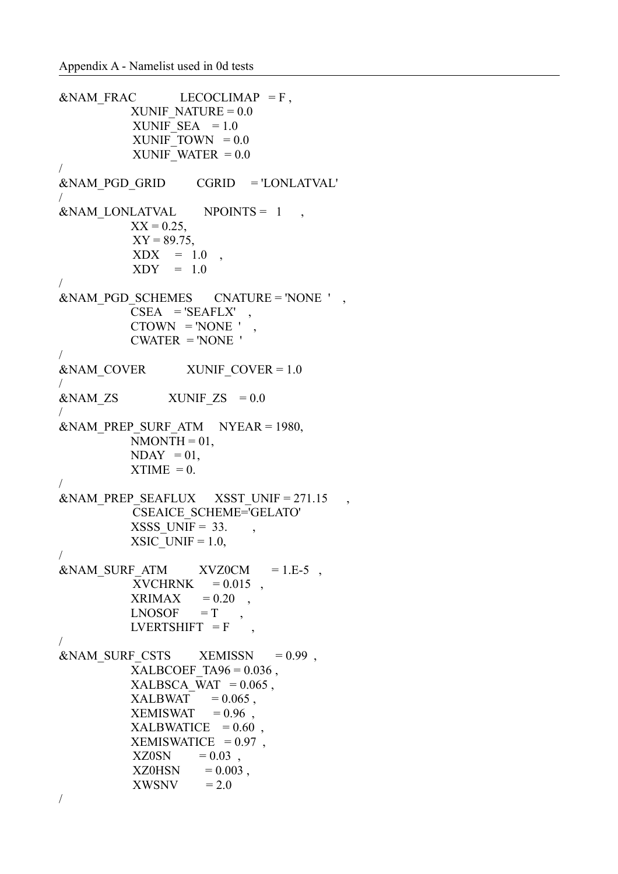```
\&NAM FRAC LECOCLIMAP = F,
         XUNIF NATURE = 0.0XUNIF SEA = 1.0XUNIF_TOWN = 0.0XUNIF WATER = 0.0/
&NAM_PGD_GRID CGRID = 'LONLATVAL' 
/
\&NAM LONLATVAL NPOINTS = 1,
         XX = 0.25,
         XY = 89.75,
         XDX = 1.0,
         XDY = 1.0/
&NAM PGD SCHEMES CNATURE = 'NONE ' ,
         CSEA = 'SEAFLX'CTOWN = 'NONE'CWATER = 'NONE'/
\&NAM COVER XUNIF COVER = 1.0
/
\&NAM ZS \quad XUNIF ZS = 0.0
/
\&NAM PREP SURF ATM NYEAR = 1980,
         NMONTH = 01,
         NDAY = 01,
         XTIME = 0./
&NAM_PREP_SEAFLUX XSST_UNIF = 271.15 ,
         CSEAICE_SCHEME='GELATO'
         XSSS UNIF = 33. ,
         XSIC UNIF = 1.0,
/
\&NAM_SURE_ATM XVZ0CM = 1.E-5,
         XVCHRNK = 0.015,
         XRIMAX = 0.20,
         L NOSOF = TLVERTSHIFT = F,
/
\&NAM_SURF_CSTS XEMISSN = 0.99,
         XALBCOEF TA96 = 0.036,
         XALBSCA WAT = 0.065,
         XALBWAT = 0.065.
         XEMISWAT = 0.96,
         XALBWATICE = 0.60,
         XEMISWATICE = 0.97,
         XZ0SN = 0.03,
         XZ0HSN = 0.003,
         XWSNV = 2.0/
```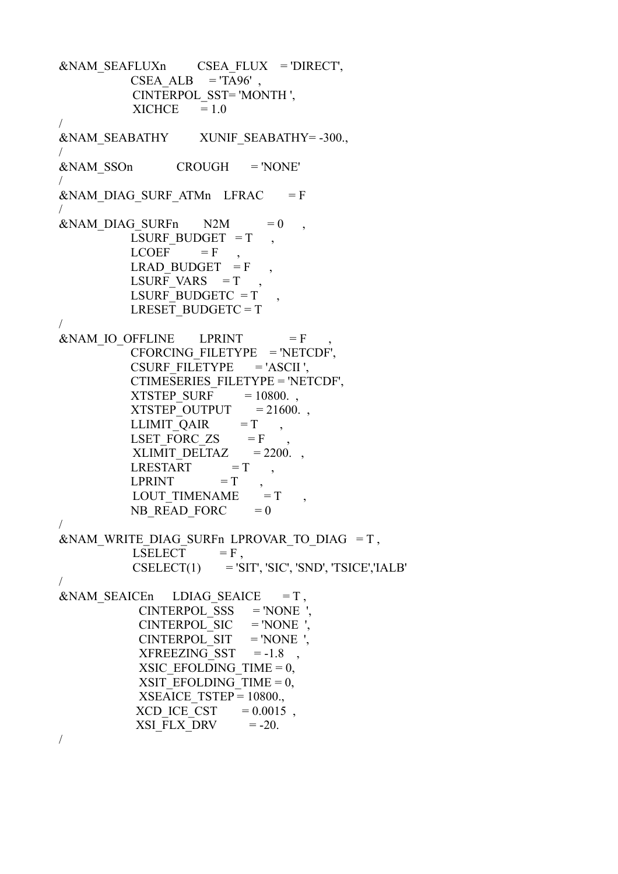&NAM\_SEAFLUXn CSEA\_FLUX = 'DIRECT', CSEA ALB  $=$  'TA96', CINTERPOL\_SST= 'MONTH ',  $XICHCE = 1.0$ / &NAM\_SEABATHY XUNIF\_SEABATHY= -300., / &NAM\_SSOn CROUGH = 'NONE' /  $&NAM$  DIAG SURF ATMn LFRAC = F /  $&NAM$  DIAG SURFn  $N2M = 0$ LSURF BUDGET  $=T$  $LCOEF = F$ LRAD BUDGET  $=$  F LSURF VARS  $=T$ LSURF BUDGETC  $=T$ LRESET BUDGETC  $= T$ /  $&NAMIO$  OFFLINE LPRINT  $= F$  CFORCING\_FILETYPE = 'NETCDF', CSURF FILETYPE  $= 'ASCII ',$  CTIMESERIES\_FILETYPE = 'NETCDF',  $XTSTEP$  SURF = 10800.  $XTSTEP$  OUTPUT = 21600.  $LLIMIT_QAIR = T$ LSET FORC  $\text{ZS}$  = F  $XLIMIT_DELTAZ = 2200.$  $LRESTART = T$  $LPRINT = T$ LOUT TIMENAME  $= T$ NB READ FORC  $= 0$ / &NAM\_WRITE\_DIAG\_SURFn LPROVAR\_TO\_DIAG = T, LSELECT  $= F$ ,  $CSELECT(1) = 'SIT', 'SIC', 'SND', 'TSICE', 'IALB'$ /  $\&$ NAM SEAICEn LDIAG SEAICE = T,  $CINTERPOL SSS = 'NONE$  $CINTERPOL$   $SIC$  = 'NONE '  $CINTERPOL$  SIT = 'NONE ',  $XFREEZING SST = -1.8$ XSIC EFOLDING TIME  $= 0$ , XSIT\_EFOLDING\_TIME =  $0$ ,  $XSEAICETSTEP = 10800.$  $XCD$  ICE CST =  $0.0015$ , XSI $FLX$  DRV = -20. /